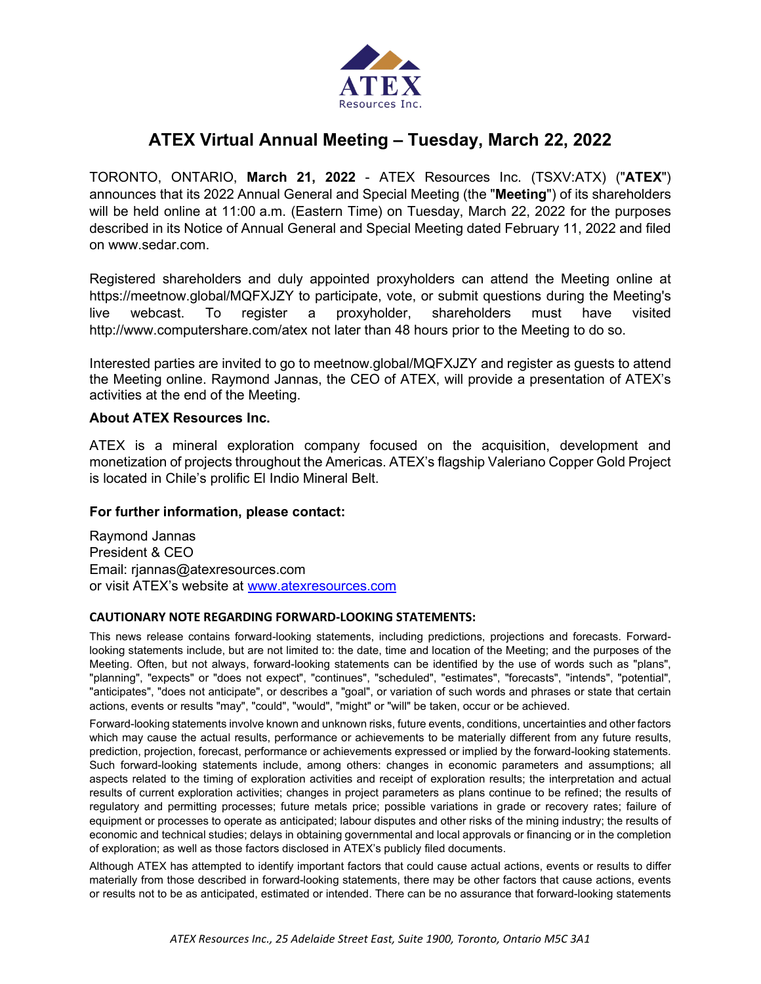

## **ATEX Virtual Annual Meeting – Tuesday, March 22, 2022**

TORONTO, ONTARIO, **March 21, 2022** - ATEX Resources Inc. (TSXV:ATX) ("**ATEX**") announces that its 2022 Annual General and Special Meeting (the "**Meeting**") of its shareholders will be held online at 11:00 a.m. (Eastern Time) on Tuesday, March 22, 2022 for the purposes described in its Notice of Annual General and Special Meeting dated February 11, 2022 and filed on www.sedar.com.

Registered shareholders and duly appointed proxyholders can attend the Meeting online at https://meetnow.global/MQFXJZY to participate, vote, or submit questions during the Meeting's live webcast. To register a proxyholder, shareholders must have visited http://www.computershare.com/atex not later than 48 hours prior to the Meeting to do so.

Interested parties are invited to go to meetnow.global/MQFXJZY and register as guests to attend the Meeting online. Raymond Jannas, the CEO of ATEX, will provide a presentation of ATEX's activities at the end of the Meeting.

## **About ATEX Resources Inc.**

ATEX is a mineral exploration company focused on the acquisition, development and monetization of projects throughout the Americas. ATEX's flagship Valeriano Copper Gold Project is located in Chile's prolific El Indio Mineral Belt.

## **For further information, please contact:**

Raymond Jannas President & CEO Email: rjannas@atexresources.com or visit ATEX's website at [www.atexresources.com](http://www.atexresources.com/)

## **CAUTIONARY NOTE REGARDING FORWARD-LOOKING STATEMENTS:**

This news release contains forward-looking statements, including predictions, projections and forecasts. Forwardlooking statements include, but are not limited to: the date, time and location of the Meeting; and the purposes of the Meeting. Often, but not always, forward-looking statements can be identified by the use of words such as "plans", "planning", "expects" or "does not expect", "continues", "scheduled", "estimates", "forecasts", "intends", "potential", "anticipates", "does not anticipate", or describes a "goal", or variation of such words and phrases or state that certain actions, events or results "may", "could", "would", "might" or "will" be taken, occur or be achieved.

Forward-looking statements involve known and unknown risks, future events, conditions, uncertainties and other factors which may cause the actual results, performance or achievements to be materially different from any future results, prediction, projection, forecast, performance or achievements expressed or implied by the forward-looking statements. Such forward-looking statements include, among others: changes in economic parameters and assumptions; all aspects related to the timing of exploration activities and receipt of exploration results; the interpretation and actual results of current exploration activities; changes in project parameters as plans continue to be refined; the results of regulatory and permitting processes; future metals price; possible variations in grade or recovery rates; failure of equipment or processes to operate as anticipated; labour disputes and other risks of the mining industry; the results of economic and technical studies; delays in obtaining governmental and local approvals or financing or in the completion of exploration; as well as those factors disclosed in ATEX's publicly filed documents.

Although ATEX has attempted to identify important factors that could cause actual actions, events or results to differ materially from those described in forward-looking statements, there may be other factors that cause actions, events or results not to be as anticipated, estimated or intended. There can be no assurance that forward-looking statements